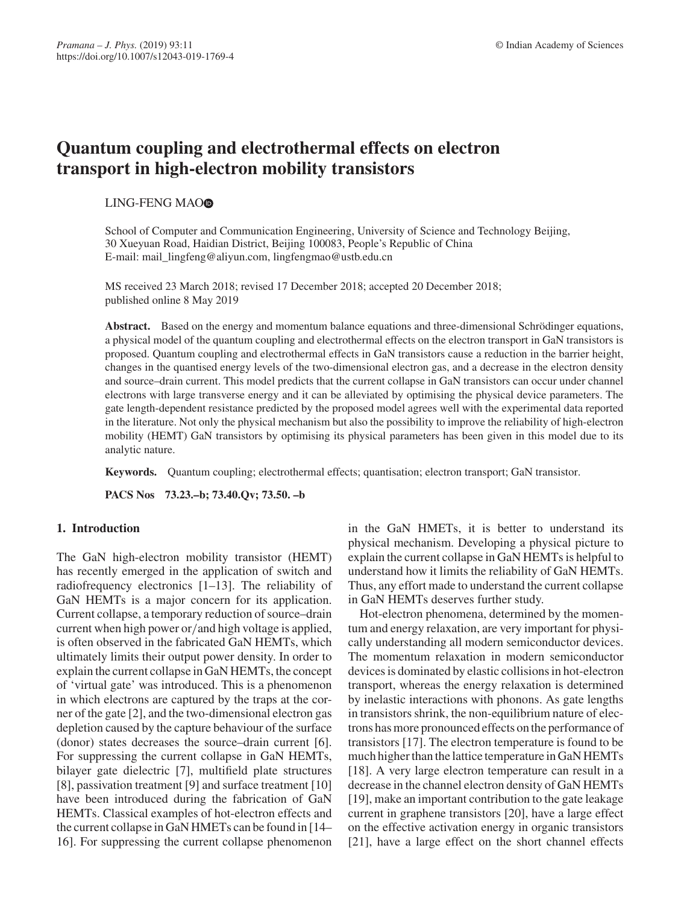# **Quantum coupling and electrothermal effects on electron transport in high-electron mobility transistors**

## LING-FENG MAOO

School of Computer and Communication Engineering, University of Science and Technology Beijing, 30 Xueyuan Road, Haidian District, Beijing 100083, People's Republic of China E-mail: mail\_lingfeng@aliyun.com, lingfengmao@ustb.edu.cn

MS received 23 March 2018; revised 17 December 2018; accepted 20 December 2018; published online 8 May 2019

**Abstract.** Based on the energy and momentum balance equations and three-dimensional Schrödinger equations, a physical model of the quantum coupling and electrothermal effects on the electron transport in GaN transistors is proposed. Quantum coupling and electrothermal effects in GaN transistors cause a reduction in the barrier height, changes in the quantised energy levels of the two-dimensional electron gas, and a decrease in the electron density and source–drain current. This model predicts that the current collapse in GaN transistors can occur under channel electrons with large transverse energy and it can be alleviated by optimising the physical device parameters. The gate length-dependent resistance predicted by the proposed model agrees well with the experimental data reported in the literature. Not only the physical mechanism but also the possibility to improve the reliability of high-electron mobility (HEMT) GaN transistors by optimising its physical parameters has been given in this model due to its analytic nature.

**Keywords.** Quantum coupling; electrothermal effects; quantisation; electron transport; GaN transistor.

**PACS Nos 73.23.–b; 73.40.Qv; 73.50. –b**

# **1. Introduction**

The GaN high-electron mobility transistor (HEMT) has recently emerged in the application of switch and radiofrequency electronics [1–13]. The reliability of GaN HEMTs is a major concern for its application. Current collapse, a temporary reduction of source–drain current when high power or/and high voltage is applied, is often observed in the fabricated GaN HEMTs, which ultimately limits their output power density. In order to explain the current collapse in GaN HEMTs, the concept of 'virtual gate' was introduced. This is a phenomenon in which electrons are captured by the traps at the corner of the gate [2], and the two-dimensional electron gas depletion caused by the capture behaviour of the surface (donor) states decreases the source–drain current [6]. For suppressing the current collapse in GaN HEMTs, bilayer gate dielectric [7], multifield plate structures [8], passivation treatment [9] and surface treatment [10] have been introduced during the fabrication of GaN HEMTs. Classical examples of hot-electron effects and the current collapse in GaN HMETs can be found in [14– 16]. For suppressing the current collapse phenomenon in the GaN HMETs, it is better to understand its physical mechanism. Developing a physical picture to explain the current collapse in GaN HEMTs is helpful to understand how it limits the reliability of GaN HEMTs. Thus, any effort made to understand the current collapse in GaN HEMTs deserves further study.

Hot-electron phenomena, determined by the momentum and energy relaxation, are very important for physically understanding all modern semiconductor devices. The momentum relaxation in modern semiconductor devices is dominated by elastic collisions in hot-electron transport, whereas the energy relaxation is determined by inelastic interactions with phonons. As gate lengths in transistors shrink, the non-equilibrium nature of electrons has more pronounced effects on the performance of transistors [17]. The electron temperature is found to be much higher than the lattice temperature in GaN HEMTs [18]. A very large electron temperature can result in a decrease in the channel electron density of GaN HEMTs [19], make an important contribution to the gate leakage current in graphene transistors [20], have a large effect on the effective activation energy in organic transistors [21], have a large effect on the short channel effects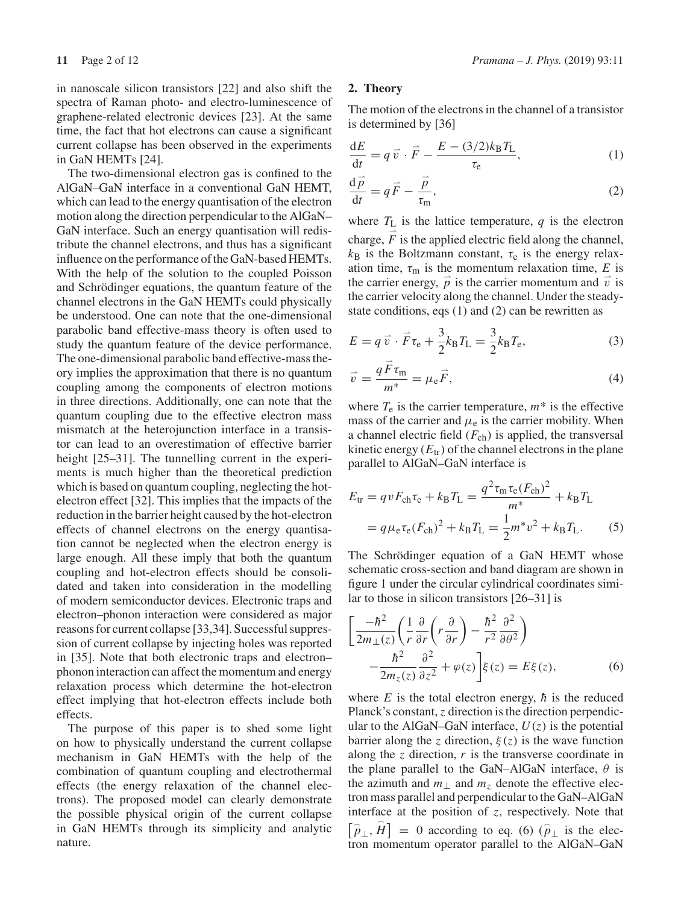The two-dimensional electron gas is confined to the AlGaN–GaN interface in a conventional GaN HEMT, which can lead to the energy quantisation of the electron motion along the direction perpendicular to the AlGaN– GaN interface. Such an energy quantisation will redistribute the channel electrons, and thus has a significant influence on the performance of the GaN-based HEMTs. With the help of the solution to the coupled Poisson and Schrödinger equations, the quantum feature of the channel electrons in the GaN HEMTs could physically be understood. One can note that the one-dimensional parabolic band effective-mass theory is often used to study the quantum feature of the device performance. The one-dimensional parabolic band effective-mass theory implies the approximation that there is no quantum coupling among the components of electron motions in three directions. Additionally, one can note that the quantum coupling due to the effective electron mass mismatch at the heterojunction interface in a transistor can lead to an overestimation of effective barrier height [25–31]. The tunnelling current in the experiments is much higher than the theoretical prediction which is based on quantum coupling, neglecting the hotelectron effect [32]. This implies that the impacts of the reduction in the barrier height caused by the hot-electron effects of channel electrons on the energy quantisation cannot be neglected when the electron energy is large enough. All these imply that both the quantum coupling and hot-electron effects should be consolidated and taken into consideration in the modelling of modern semiconductor devices. Electronic traps and electron–phonon interaction were considered as major reasons for current collapse [33,34]. Successful suppression of current collapse by injecting holes was reported in [35]. Note that both electronic traps and electron– phonon interaction can affect the momentum and energy relaxation process which determine the hot-electron effect implying that hot-electron effects include both effects.

The purpose of this paper is to shed some light on how to physically understand the current collapse mechanism in GaN HEMTs with the help of the combination of quantum coupling and electrothermal effects (the energy relaxation of the channel electrons). The proposed model can clearly demonstrate the possible physical origin of the current collapse in GaN HEMTs through its simplicity and analytic nature.

## **11** Page 2 of 12 *Pramana – J. Phys.* (2019) 93:11

## **2. Theory**

The motion of the electrons in the channel of a transistor is determined by [36]

$$
\frac{dE}{dt} = q\vec{v} \cdot \vec{F} - \frac{E - (3/2)k_B T_L}{\tau_e},\tag{1}
$$

$$
\frac{\mathrm{d}\vec{p}}{\mathrm{d}t} = q\vec{F} - \frac{\vec{p}}{\tau_{\rm m}},\tag{2}
$$

where  $T_L$  is the lattice temperature,  $q$  is the electron charge,  $\vec{F}$  is the applied electric field along the channel,  $k_B$  is the Boltzmann constant,  $\tau_e$  is the energy relaxation time,  $\tau_{\rm m}$  is the momentum relaxation time, *E* is the carrier energy,  $\vec{p}$  is the carrier momentum and  $\vec{v}$  is the carrier velocity along the channel. Under the steadystate conditions, eqs (1) and (2) can be rewritten as

$$
E = q\overrightarrow{v} \cdot \overrightarrow{F}\tau_{e} + \frac{3}{2}k_{\text{B}}T_{\text{L}} = \frac{3}{2}k_{\text{B}}T_{e},\tag{3}
$$

$$
\vec{v} = \frac{q \vec{F} \tau_{\rm m}}{m^*} = \mu_{\rm e} \vec{F},\tag{4}
$$

where  $T_e$  is the carrier temperature,  $m^*$  is the effective mass of the carrier and  $\mu$ <sub>e</sub> is the carrier mobility. When a channel electric field  $(F_{ch})$  is applied, the transversal kinetic energy  $(E<sub>tr</sub>)$  of the channel electrons in the plane parallel to AlGaN–GaN interface is

$$
E_{\text{tr}} = qvF_{\text{ch}}\tau_{\text{e}} + k_{\text{B}}T_{\text{L}} = \frac{q^2\tau_{\text{m}}\tau_{\text{e}}(F_{\text{ch}})^2}{m^*} + k_{\text{B}}T_{\text{L}}
$$
  
=  $q\mu_{\text{e}}\tau_{\text{e}}(F_{\text{ch}})^2 + k_{\text{B}}T_{\text{L}} = \frac{1}{2}m^*v^2 + k_{\text{B}}T_{\text{L}}.$  (5)

The Schrödinger equation of a GaN HEMT whose schematic cross-section and band diagram are shown in figure 1 under the circular cylindrical coordinates similar to those in silicon transistors [26–31] is

$$
\left[\frac{-\hbar^2}{2m_{\perp}(z)}\left(\frac{1}{r}\frac{\partial}{\partial r}\left(r\frac{\partial}{\partial r}\right)-\frac{\hbar^2}{r^2}\frac{\partial^2}{\partial \theta^2}\right)\right] -\frac{\hbar^2}{2m_z(z)}\frac{\partial^2}{\partial z^2} + \varphi(z)\right]\xi(z) = E\xi(z),\tag{6}
$$

where  $E$  is the total electron energy,  $\hbar$  is the reduced Planck's constant, *z* direction is the direction perpendicular to the AlGaN–GaN interface,  $U(z)$  is the potential barrier along the *z* direction,  $\xi(z)$  is the wave function along the  $\zeta$  direction,  $r$  is the transverse coordinate in the plane parallel to the GaN–AlGaN interface,  $\theta$  is the azimuth and  $m_{\perp}$  and  $m_{\tilde{z}}$  denote the effective electron mass parallel and perpendicular to the GaN–AlGaN interface at the position of *z*, respectively. Note that  $\left[\hat{p}_{\perp}, \hat{H}\right] = 0$  according to eq. (6)  $\left(\hat{p}_{\perp}\right)$  is the electron momentum operator parallel to the AlGaN–GaN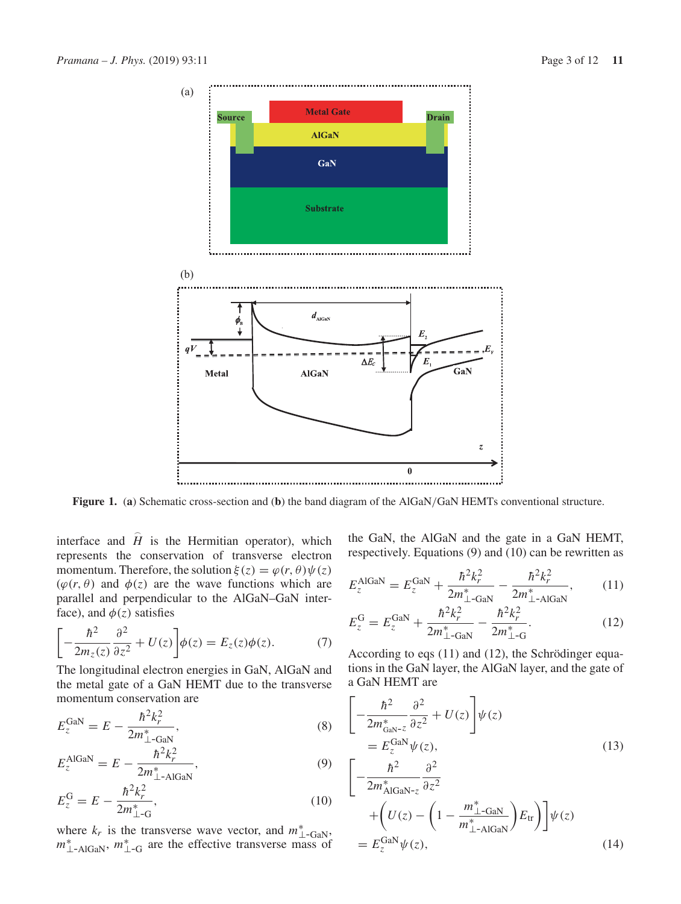

**Figure 1.** (**a**) Schematic cross-section and (**b**) the band diagram of the AlGaN/GaN HEMTs conventional structure.

interface and  $\hat{H}$  is the Hermitian operator), which represents the conservation of transverse electron momentum. Therefore, the solution  $\xi(z) = \varphi(r, \theta) \psi(z)$  $(\varphi(r, \theta))$  and  $\varphi(z)$  are the wave functions which are parallel and perpendicular to the AlGaN–GaN interface), and  $\phi(z)$  satisfies

$$
\left[ -\frac{\hbar^2}{2m_z(z)} \frac{\partial^2}{\partial z^2} + U(z) \right] \phi(z) = E_z(z) \phi(z). \tag{7}
$$

The longitudinal electron energies in GaN, AlGaN and the metal gate of a GaN HEMT due to the transverse momentum conservation are

$$
E_z^{\text{Gal}} = E - \frac{\hbar^2 k_r^2}{2m_{\perp - \text{Gal}}^*},\tag{8}
$$

$$
E_z^{\text{AlGaN}} = E - \frac{\hbar^2 k_r^2}{2m_{\perp \text{-AlGaN}}^*},\tag{9}
$$

$$
E_z^{\rm G} = E - \frac{\hbar^2 k_r^2}{2m_{\perp - \rm G}^*},\tag{10}
$$

where  $k_r$  is the transverse wave vector, and  $m^*_{\perp-\text{GaN}},$ <br> $m^*_{\perp-\text{AlGaN}}, m^*_{\perp-\text{G}}$  are the effective transverse mass of

the GaN, the AlGaN and the gate in a GaN HEMT, respectively. Equations (9) and (10) can be rewritten as

$$
E_z^{\text{AlGaN}} = E_z^{\text{GaN}} + \frac{\hbar^2 k_r^2}{2m_{\perp-\text{GaN}}^*} - \frac{\hbar^2 k_r^2}{2m_{\perp-\text{AlGaN}}^*},\tag{11}
$$

$$
E_z^{\rm G} = E_z^{\rm GaN} + \frac{\hbar^2 k_r^2}{2m_{\perp - \rm GaN}^*} - \frac{\hbar^2 k_r^2}{2m_{\perp - \rm G}^*}.
$$
 (12)

According to eqs (11) and (12), the Schrödinger equations in the GaN layer, the AlGaN layer, and the gate of a GaN HEMT are

$$
\begin{aligned}\n&\left[-\frac{\hbar^2}{2m_{\text{GAN}-z}^*}\frac{\partial^2}{\partial z^2} + U(z)\right]\psi(z) \\
&= E_z^{\text{Gal}}\psi(z), \\
&\left[-\frac{\hbar^2}{2m_{\text{AlGAN}-z}^*}\frac{\partial^2}{\partial z^2} \\
&+ \left(U(z) - \left(1 - \frac{m_{\perp - \text{Gal}}^*}{m_{\perp - \text{AlGAN}}^*}\right)E_{\text{tr}}\right)\right]\psi(z) \\
&= E_z^{\text{Gal}}\psi(z),\n\end{aligned} \tag{14}
$$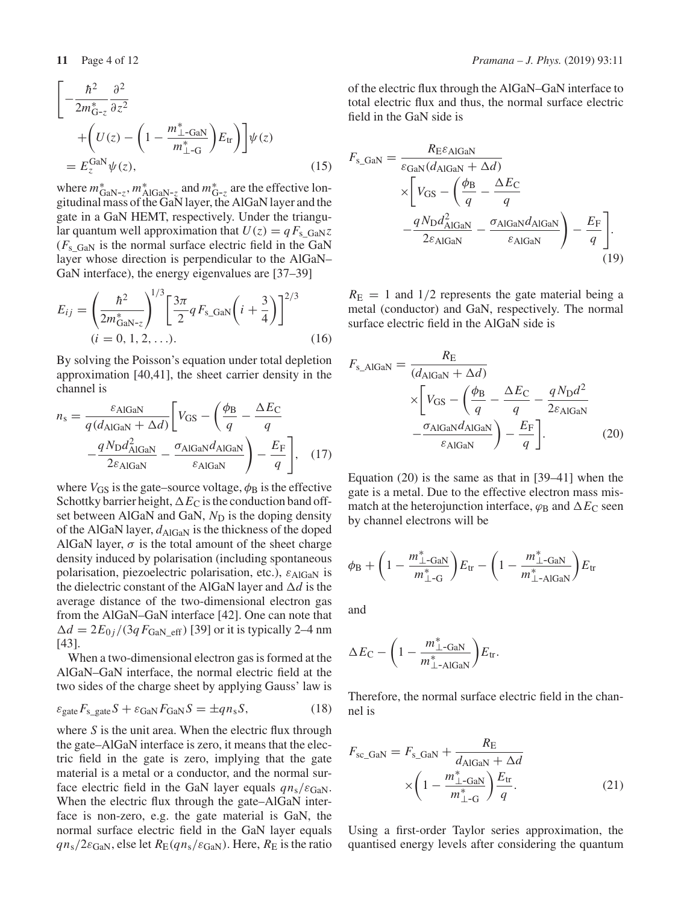$$
\begin{aligned}\n&\left[-\frac{\hbar^2}{2m_{\text{G-z}}^*}\frac{\partial^2}{\partial z^2} + \left(U(z) - \left(1 - \frac{m_{\perp - \text{GaN}}^*}{m_{\perp - \text{G}}^*}\right)E_{\text{tr}}\right)\right]\psi(z) \\
&= E_z^{\text{Gal}}\psi(z),\n\end{aligned} \tag{15}
$$

where  $m_{\text{GaN-z}}^*$ ,  $m_{\text{AlGaN-z}}^*$  and  $m_{\text{G-z}}^*$  are the effective longitudinal mass of the GaN layer, the AlGaN layer and the gate in a GaN HEMT, respectively. Under the triangular quantum well approximation that  $U(z) = qF_s$  GaNz  $(F<sub>s</sub>_{\text{Gal}})$  is the normal surface electric field in the GaN layer whose direction is perpendicular to the AlGaN– GaN interface), the energy eigenvalues are [37–39]

$$
E_{ij} = \left(\frac{\hbar^2}{2m_{\text{GAN-z}}^*}\right)^{1/3} \left[\frac{3\pi}{2} q F_{\text{s\_GAN}}\left(i + \frac{3}{4}\right)\right]^{2/3}
$$
  
(*i* = 0, 1, 2, ...). (16)

By solving the Poisson's equation under total depletion approximation [40,41], the sheet carrier density in the channel is

$$
n_{\rm s} = \frac{\varepsilon_{\rm AlGaN}}{q(d_{\rm AlGaN} + \Delta d)} \left[ V_{\rm GS} - \left( \frac{\phi_{\rm B}}{q} - \frac{\Delta E_{\rm C}}{q} \right) - \frac{q N_{\rm D} d_{\rm AlGaN}^2}{2 \varepsilon_{\rm AlGaN}} - \frac{\sigma_{\rm AlGaN} d_{\rm AlGaN}}{\varepsilon_{\rm AlGaN}} \right) - \frac{E_{\rm F}}{q} \right], \quad (17)
$$

where  $V_{\text{GS}}$  is the gate–source voltage,  $\phi_{\text{B}}$  is the effective Schottky barrier height,  $\Delta E_C$  is the conduction band offset between AlGaN and GaN,  $N_D$  is the doping density of the AlGaN layer,  $d_{\text{AlGaN}}$  is the thickness of the doped AlGaN layer,  $\sigma$  is the total amount of the sheet charge density induced by polarisation (including spontaneous polarisation, piezoelectric polarisation, etc.),  $\varepsilon_{\text{AlGaN}}$  is the dielectric constant of the AlGaN layer and  $\Delta d$  is the average distance of the two-dimensional electron gas from the AlGaN–GaN interface [42]. One can note that  $\Delta d = 2E_{0i}/(3qF_{\text{GAN}})$  eff) [39] or it is typically 2–4 nm [43].

When a two-dimensional electron gas is formed at the AlGaN–GaN interface, the normal electric field at the two sides of the charge sheet by applying Gauss' law is

$$
\varepsilon_{\text{gate}} F_{\text{s\_gate}} S + \varepsilon_{\text{GaN}} F_{\text{GaN}} S = \pm q n_{\text{s}} S,\tag{18}
$$

where *S* is the unit area. When the electric flux through the gate–AlGaN interface is zero, it means that the electric field in the gate is zero, implying that the gate material is a metal or a conductor, and the normal surface electric field in the GaN layer equals  $qn_s/\varepsilon_{\text{GaN}}$ . When the electric flux through the gate–AlGaN interface is non-zero, e.g. the gate material is GaN, the normal surface electric field in the GaN layer equals  $qn_s/2\varepsilon_{\text{GaN}}$ , else let  $R_E(qn_s/\varepsilon_{\text{GaN}})$ . Here,  $R_E$  is the ratio

of the electric flux through the AlGaN–GaN interface to total electric flux and thus, the normal surface electric field in the GaN side is

$$
F_{\rm s\_GAN} = \frac{R_{\rm E} \varepsilon_{\rm AlGAN}}{\varepsilon_{\rm GaN} (d_{\rm AlGAN} + \Delta d)} \times \left[ V_{\rm GS} - \left( \frac{\phi_{\rm B}}{q} - \frac{\Delta E_{\rm C}}{q} - \frac{q N_{\rm D} d_{\rm AlGaN}^2}{q} - \frac{\sigma_{\rm AlGaN} d_{\rm AlGaN}}{\varepsilon_{\rm AlGaN}} \right) - \frac{E_{\rm F}}{q} \right].
$$
\n(19)

 $R_{\rm E}$  = 1 and 1/2 represents the gate material being a metal (conductor) and GaN, respectively. The normal surface electric field in the AlGaN side is

$$
F_{s\_AlGaN} = \frac{R_{E}}{(d_{AlGaN} + \Delta d)}
$$

$$
\times \left[ V_{GS} - \left( \frac{\phi_B}{q} - \frac{\Delta E_C}{q} - \frac{qN_{D}d^2}{2\varepsilon_{AlGaN}} - \frac{\sigma_{AlGaN}d_{AlGaN}}{\varepsilon_{AlGaN}} \right) - \frac{E_{F}}{q} \right].
$$
(20)

Equation (20) is the same as that in [39–41] when the gate is a metal. Due to the effective electron mass mismatch at the heterojunction interface,  $\varphi_B$  and  $\Delta E_C$  seen by channel electrons will be

$$
\phi_{\rm B} + \left(1 - \frac{m_{\perp}^* - \text{GaN}}{m_{\perp}^* - \text{G}}\right) E_{\rm tr} - \left(1 - \frac{m_{\perp}^* - \text{GaN}}{m_{\perp}^* - \text{AlGaN}}\right) E_{\rm tr}
$$

and

$$
\Delta E_{\rm C} - \left(1 - \frac{m_{\perp}^* - GaN}{m_{\perp}^* - AIGaN}}\right) E_{\rm tr}.
$$

Therefore, the normal surface electric field in the channel is

$$
F_{\text{sc\_GaN}} = F_{\text{s\_GaN}} + \frac{R_{\text{E}}}{d_{\text{AlGaN}} + \Delta d}
$$

$$
\times \left(1 - \frac{m_{\perp - \text{GaN}}^*}{m_{\perp - \text{G}}^*}\right) \frac{E_{\text{tr}}}{q}.
$$
(21)

Using a first-order Taylor series approximation, the quantised energy levels after considering the quantum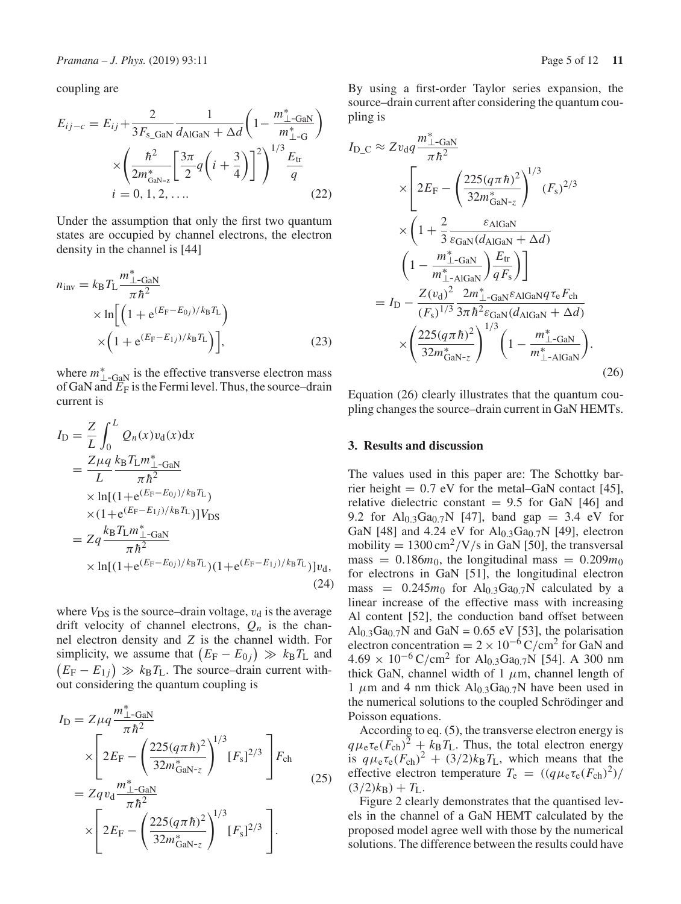coupling are

$$
E_{ij-c} = E_{ij} + \frac{2}{3F_{s\text{_GaN}}} \frac{1}{d_{\text{AlGaN}} + \Delta d} \left( 1 - \frac{m_{\perp}^{*} - \text{GaN}}{m_{\perp}^{*} - G} \right)
$$

$$
\times \left( \frac{\hbar^{2}}{2m_{\text{GaN}-z}^{*}} \left[ \frac{3\pi}{2} q \left( i + \frac{3}{4} \right) \right]^{2} \right)^{1/3} \frac{E_{tr}}{q}
$$

$$
i = 0, 1, 2, .... \tag{22}
$$

Under the assumption that only the first two quantum states are occupied by channel electrons, the electron density in the channel is [44]

$$
n_{\text{inv}} = k_{\text{B}} T_{\text{L}} \frac{m_{\perp - \text{Gal}}^{*}}{\pi \hbar^{2}} \times \ln \left[ \left( 1 + e^{(E_{\text{F}} - E_{0j})/k_{\text{B}} T_{\text{L}}} \right) \times \left( 1 + e^{(E_{\text{F}} - E_{1j})/k_{\text{B}} T_{\text{L}}} \right) \right],
$$
\n(23)

where  $m^*_{\perp-\text{GAN}}$  is the effective transverse electron mass of GaN and  $\overrightarrow{E_F}$  is the Fermi level. Thus, the source–drain current is

$$
I_{\rm D} = \frac{Z}{L} \int_0^L Q_n(x) v_{\rm d}(x) dx
$$
  
\n
$$
= \frac{Z \mu q}{L} \frac{k_{\rm B} T_{\rm L} m_{\perp}^* - G a N}{\pi \hbar^2}
$$
  
\n
$$
\times \ln[(1 + e^{(E_{\rm F} - E_{0j})/k_{\rm B} T_{\rm L}})] V_{\rm DS}
$$
  
\n
$$
= Z q \frac{k_{\rm B} T_{\rm L} m_{\perp}^* - G a N}{\pi \hbar^2}
$$
  
\n
$$
\times \ln[(1 + e^{(E_{\rm F} - E_{0j})/k_{\rm B} T_{\rm L}})(1 + e^{(E_{\rm F} - E_{1j})/k_{\rm B} T_{\rm L}})] v_{\rm d},
$$
  
\n(24)

where  $V_{DS}$  is the source–drain voltage,  $v_d$  is the average drift velocity of channel electrons,  $Q_n$  is the channel electron density and *Z* is the channel width. For simplicity, we assume that  $(E_F - E_{0j}) \gg k_B T_L$  and  $(E_F - E_{1j}) \gg k_B T_L$ . The source–drain current without considering the quantum coupling is

$$
I_{\rm D} = Z\mu q \frac{m_{\perp}^* - G_{\rm aN}}{\pi \hbar^2} \times \left[ 2E_{\rm F} - \left( \frac{225(q\pi\hbar)^2}{32m_{\rm GaN-z}^*} \right)^{1/3} [F_{\rm s}]^{2/3} \right] F_{\rm ch}
$$
  
=  $Zq v_{\rm d} \frac{m_{\perp}^* - G_{\rm aN}}{\pi \hbar^2} \times \left[ 2E_{\rm F} - \left( \frac{225(q\pi\hbar)^2}{32m_{\rm GaN-z}^*} \right)^{1/3} [F_{\rm s}]^{2/3} \right].$  (25)

By using a first-order Taylor series expansion, the source–drain current after considering the quantum coupling is

$$
I_{\rm D\_C} \approx Zv_{\rm d}q \frac{m_{\perp}^{*} - \text{GaN}}{\pi \hbar^{2}} \times \left[ 2E_{\rm F} - \left( \frac{225(q\pi\hbar)^{2}}{32m_{\rm GaN}^{*}} \right)^{1/3} (F_{\rm s})^{2/3} \times \left( 1 + \frac{2}{3} \frac{\varepsilon_{\rm AlGaN}}{\varepsilon_{\rm GaN}(d_{\rm AlGaN} + \Delta d)} \right) \times \left( 1 - \frac{m_{\perp}^{*} - \text{GaN}}{m_{\perp}^{*} - \text{AlGaN}} \right) \frac{E_{\rm tr}}{qF_{\rm s}} \right) \right] \times I_{\rm D} - \frac{Z(v_{\rm d})^{2}}{(F_{\rm s})^{1/3}} \frac{2m_{\perp}^{*} - \text{GaN} \varepsilon_{\rm AlGaN} q \tau_{\rm e} F_{\rm ch}}{\times \left( \frac{225(q\pi\hbar)^{2}}{32m_{\rm GalN}^{*} - z} \right)^{1/3} \left( 1 - \frac{m_{\perp}^{*} - \text{GaN}}{m_{\perp}^{*} - \text{AlGaN}} \right). \tag{26}
$$

Equation (26) clearly illustrates that the quantum coupling changes the source–drain current in GaN HEMTs.

#### **3. Results and discussion**

The values used in this paper are: The Schottky barrier height  $= 0.7$  eV for the metal–GaN contact [45], relative dielectric constant  $= 9.5$  for GaN [46] and 9.2 for  $Al_{0.3}Ga_{0.7}N$  [47], band gap = 3.4 eV for GaN [48] and 4.24 eV for  $\text{Al}_{0.3}\text{Ga}_{0.7}\text{N}$  [49], electron mobility =  $1300 \text{ cm}^2$ /V/s in GaN [50], the transversal mass =  $0.186m_0$ , the longitudinal mass =  $0.209m_0$ for electrons in GaN [51], the longitudinal electron mass =  $0.245m_0$  for  $Al_{0.3}Ga_{0.7}N$  calculated by a linear increase of the effective mass with increasing Al content [52], the conduction band offset between Al<sub>0.3</sub>Ga<sub>0.7</sub>N and GaN = 0.65 eV [53], the polarisation electron concentration =  $2 \times 10^{-6}$  C/cm<sup>2</sup> for GaN and  $4.69 \times 10^{-6}$  C/cm<sup>2</sup> for Al<sub>0.3</sub>Ga<sub>0.7</sub>N [54]. A 300 nm thick GaN, channel width of 1  $\mu$ m, channel length of 1  $\mu$ m and 4 nm thick Al<sub>0.3</sub>Ga<sub>0.7</sub>N have been used in the numerical solutions to the coupled Schrödinger and Poisson equations.

According to eq. (5), the transverse electron energy is  $q\mu_e\tau_e(F_{ch})^2 + k_B T_L$ . Thus, the total electron energy is  $q\mu_e\tau_e(F_{ch})^2 + (3/2)k_BT_L$ , which means that the effective electron temperature  $T_e = ((q\mu_e \tau_e (F_{ch})^2)/$  $(3/2)k_B$  $+ T_L$ .

Figure 2 clearly demonstrates that the quantised levels in the channel of a GaN HEMT calculated by the proposed model agree well with those by the numerical solutions. The difference between the results could have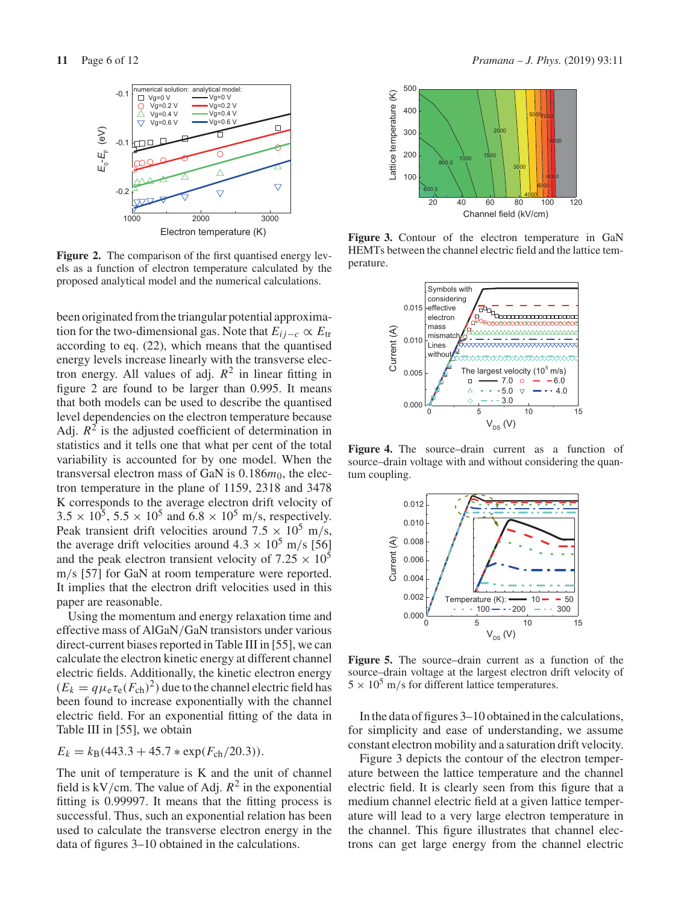

**Figure 2.** The comparison of the first quantised energy levels as a function of electron temperature calculated by the proposed analytical model and the numerical calculations.

been originated from the triangular potential approximation for the two-dimensional gas. Note that  $E_{ij-c} \propto E_{tr}$ according to eq. (22), which means that the quantised energy levels increase linearly with the transverse electron energy. All values of adj.  $R^2$  in linear fitting in figure 2 are found to be larger than 0.995. It means that both models can be used to describe the quantised level dependencies on the electron temperature because Adj.  $R^2$  is the adjusted coefficient of determination in statistics and it tells one that what per cent of the total variability is accounted for by one model. When the transversal electron mass of GaN is 0.186 $m_0$ , the electron temperature in the plane of 1159, 2318 and 3478 K corresponds to the average electron drift velocity of  $3.5 \times 10^5$ ,  $5.5 \times 10^5$  and  $6.8 \times 10^5$  m/s, respectively. Peak transient drift velocities around  $7.5 \times 10^5$  m/s, the average drift velocities around  $4.3 \times 10^5$  m/s [56] and the peak electron transient velocity of  $7.25 \times 10^5$ m/s [57] for GaN at room temperature were reported. It implies that the electron drift velocities used in this paper are reasonable.

Using the momentum and energy relaxation time and effective mass of AlGaN/GaN transistors under various direct-current biases reported in Table III in [55], we can calculate the electron kinetic energy at different channel electric fields. Additionally, the kinetic electron energy  $(E_k = q\mu_e \tau_e (F_{ch})^2)$  due to the channel electric field has been found to increase exponentially with the channel electric field. For an exponential fitting of the data in Table III in [55], we obtain

$$
E_k = k_B(443.3 + 45.7 * \exp(F_{\rm ch}/20.3)).
$$

The unit of temperature is K and the unit of channel field is kV/cm. The value of Adj.  $R^2$  in the exponential fitting is 0.99997. It means that the fitting process is successful. Thus, such an exponential relation has been used to calculate the transverse electron energy in the data of figures 3–10 obtained in the calculations.



**Figure 3.** Contour of the electron temperature in GaN HEMTs between the channel electric field and the lattice temperature.



**Figure 4.** The source–drain current as a function of source–drain voltage with and without considering the quantum coupling.



Figure 5. The source–drain current as a function of the source–drain voltage at the largest electron drift velocity of  $5 \times 10^5$  m/s for different lattice temperatures.

In the data of figures 3–10 obtained in the calculations, for simplicity and ease of understanding, we assume constant electron mobility and a saturation drift velocity.

Figure 3 depicts the contour of the electron temperature between the lattice temperature and the channel electric field. It is clearly seen from this figure that a medium channel electric field at a given lattice temperature will lead to a very large electron temperature in the channel. This figure illustrates that channel electrons can get large energy from the channel electric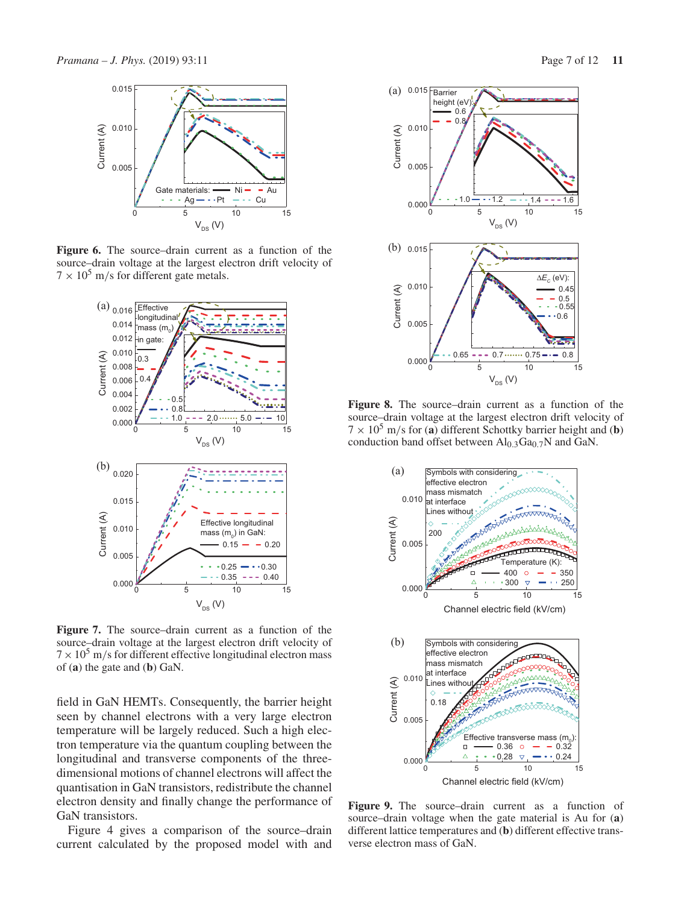

**Figure 6.** The source–drain current as a function of the source–drain voltage at the largest electron drift velocity of  $7 \times 10^5$  m/s for different gate metals.



**Figure 7.** The source–drain current as a function of the source–drain voltage at the largest electron drift velocity of  $7 \times 10^5$  m/s for different effective longitudinal electron mass of (**a**) the gate and (**b**) GaN.

field in GaN HEMTs. Consequently, the barrier height seen by channel electrons with a very large electron temperature will be largely reduced. Such a high electron temperature via the quantum coupling between the longitudinal and transverse components of the threedimensional motions of channel electrons will affect the quantisation in GaN transistors, redistribute the channel electron density and finally change the performance of GaN transistors.

Figure 4 gives a comparison of the source–drain current calculated by the proposed model with and



**Figure 8.** The source–drain current as a function of the source–drain voltage at the largest electron drift velocity of  $7 \times 10^5$  m/s for (**a**) different Schottky barrier height and (**b**) conduction band offset between  $\text{Al}_{0.3}\text{Ga}_{0.7}\text{N}$  and GaN.



**Figure 9.** The source–drain current as a function of source–drain voltage when the gate material is Au for (**a**) different lattice temperatures and (**b**) different effective transverse electron mass of GaN.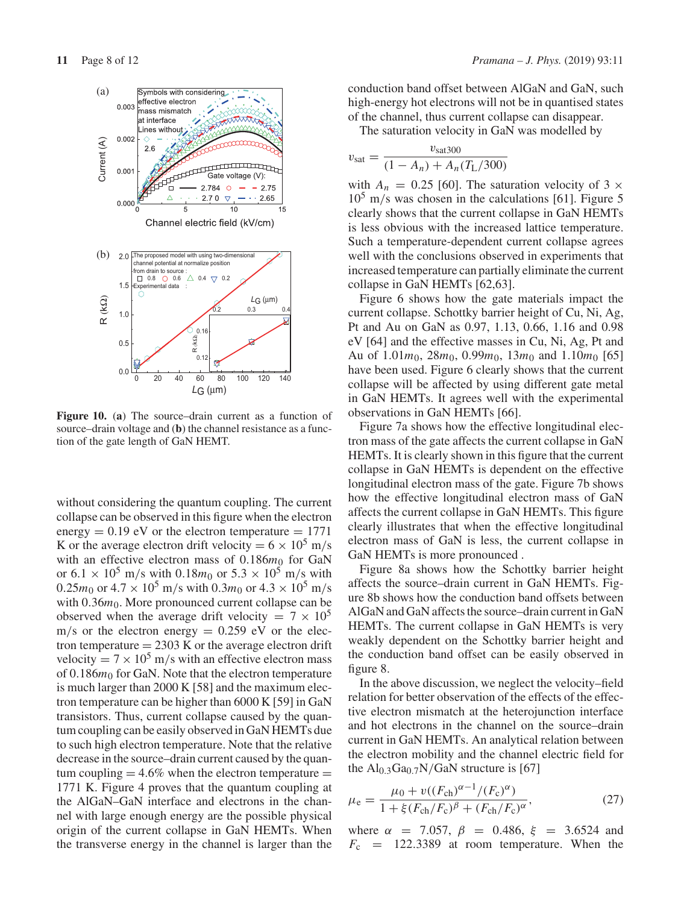

**Figure 10.** (**a**) The source–drain current as a function of source–drain voltage and (**b**) the channel resistance as a function of the gate length of GaN HEMT.

without considering the quantum coupling. The current collapse can be observed in this figure when the electron energy  $= 0.19$  eV or the electron temperature  $= 1771$ K or the average electron drift velocity =  $6 \times 10^5$  m/s with an effective electron mass of  $0.186m_0$  for GaN or  $6.1 \times 10^5$  m/s with  $0.18m_0$  or  $5.3 \times 10^5$  m/s with  $0.25m_0$  or  $4.7 \times 10^5$  m/s with  $0.3m_0$  or  $4.3 \times 10^5$  m/s with 0.36 $m_0$ . More pronounced current collapse can be observed when the average drift velocity =  $7 \times 10^5$  $m/s$  or the electron energy = 0.259 eV or the electron temperature  $= 2303$  K or the average electron drift velocity =  $7 \times 10^5$  m/s with an effective electron mass of 0.186 $m_0$  for GaN. Note that the electron temperature is much larger than 2000 K [58] and the maximum electron temperature can be higher than 6000 K [59] in GaN transistors. Thus, current collapse caused by the quantum coupling can be easily observed in GaN HEMTs due to such high electron temperature. Note that the relative decrease in the source–drain current caused by the quantum coupling  $= 4.6\%$  when the electron temperature  $=$ 1771 K. Figure 4 proves that the quantum coupling at the AlGaN–GaN interface and electrons in the channel with large enough energy are the possible physical origin of the current collapse in GaN HEMTs. When the transverse energy in the channel is larger than the conduction band offset between AlGaN and GaN, such high-energy hot electrons will not be in quantised states of the channel, thus current collapse can disappear.

The saturation velocity in GaN was modelled by

$$
v_{\text{sat}} = \frac{v_{\text{sat300}}}{(1 - A_n) + A_n(T_L/300)}
$$

with  $A_n = 0.25$  [60]. The saturation velocity of 3  $\times$  $10^5$  m/s was chosen in the calculations [61]. Figure 5 clearly shows that the current collapse in GaN HEMTs is less obvious with the increased lattice temperature. Such a temperature-dependent current collapse agrees well with the conclusions observed in experiments that increased temperature can partially eliminate the current collapse in GaN HEMTs [62,63].

Figure 6 shows how the gate materials impact the current collapse. Schottky barrier height of Cu, Ni, Ag, Pt and Au on GaN as 0.97, 1.13, 0.66, 1.16 and 0.98 eV [64] and the effective masses in Cu, Ni, Ag, Pt and Au of 1.01*m*0, 28*m*0, 0.99*m*0, 13*m*<sup>0</sup> and 1.10*m*<sup>0</sup> [65] have been used. Figure 6 clearly shows that the current collapse will be affected by using different gate metal in GaN HEMTs. It agrees well with the experimental observations in GaN HEMTs [66].

Figure 7a shows how the effective longitudinal electron mass of the gate affects the current collapse in GaN HEMTs. It is clearly shown in this figure that the current collapse in GaN HEMTs is dependent on the effective longitudinal electron mass of the gate. Figure 7b shows how the effective longitudinal electron mass of GaN affects the current collapse in GaN HEMTs. This figure clearly illustrates that when the effective longitudinal electron mass of GaN is less, the current collapse in GaN HEMTs is more pronounced .

Figure 8a shows how the Schottky barrier height affects the source–drain current in GaN HEMTs. Figure 8b shows how the conduction band offsets between AlGaN and GaN affects the source–drain current in GaN HEMTs. The current collapse in GaN HEMTs is very weakly dependent on the Schottky barrier height and the conduction band offset can be easily observed in figure 8.

In the above discussion, we neglect the velocity–field relation for better observation of the effects of the effective electron mismatch at the heterojunction interface and hot electrons in the channel on the source–drain current in GaN HEMTs. An analytical relation between the electron mobility and the channel electric field for the  $Al_{0.3}Ga_{0.7}N/GaN$  structure is [67]

$$
\mu_{\rm e} = \frac{\mu_0 + v((F_{\rm ch})^{\alpha - 1}/(F_{\rm c})^{\alpha})}{1 + \xi (F_{\rm ch}/F_{\rm c})^{\beta} + (F_{\rm ch}/F_{\rm c})^{\alpha}},\tag{27}
$$

where  $\alpha$  = 7.057,  $\beta$  = 0.486,  $\xi$  = 3.6524 and  $F_c$  = 122.3389 at room temperature. When the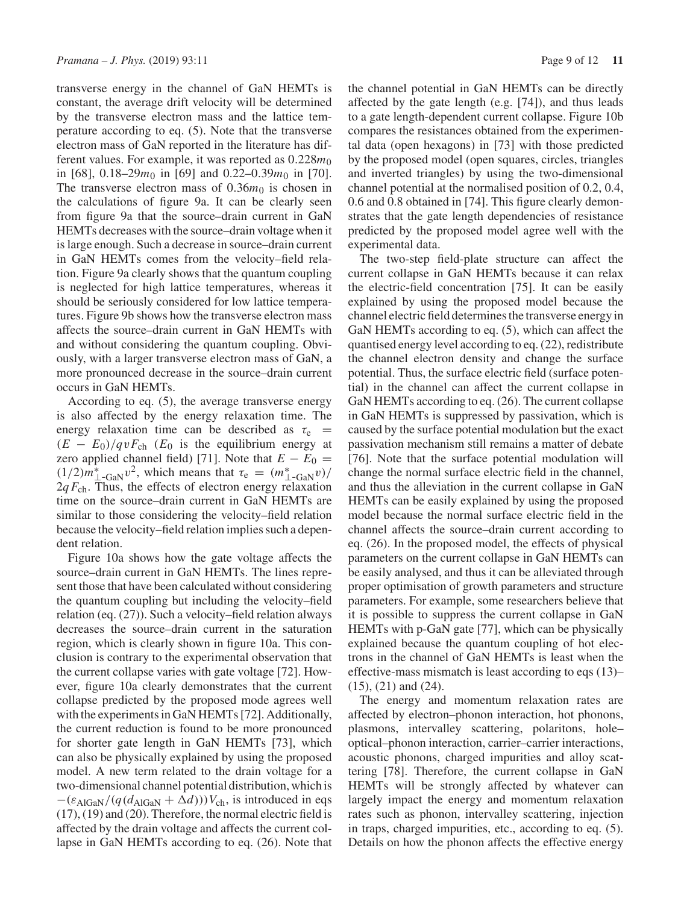transverse energy in the channel of GaN HEMTs is constant, the average drift velocity will be determined by the transverse electron mass and the lattice temperature according to eq. (5). Note that the transverse electron mass of GaN reported in the literature has different values. For example, it was reported as  $0.228m_0$ in [68],  $0.18-29m_0$  in [69] and  $0.22-0.39m_0$  in [70]. The transverse electron mass of  $0.36m<sub>0</sub>$  is chosen in the calculations of figure 9a. It can be clearly seen from figure 9a that the source–drain current in GaN HEMTs decreases with the source–drain voltage when it is large enough. Such a decrease in source–drain current in GaN HEMTs comes from the velocity–field relation. Figure 9a clearly shows that the quantum coupling is neglected for high lattice temperatures, whereas it should be seriously considered for low lattice temperatures. Figure 9b shows how the transverse electron mass affects the source–drain current in GaN HEMTs with and without considering the quantum coupling. Obviously, with a larger transverse electron mass of GaN, a more pronounced decrease in the source–drain current occurs in GaN HEMTs.

According to eq. (5), the average transverse energy is also affected by the energy relaxation time. The energy relaxation time can be described as  $\tau_e$  =  $(E - E_0)/qvF_{ch}$  (*E*<sub>0</sub> is the equilibrium energy at zero applied channel field) [71]. Note that  $E - E_0 =$  $(1/2)m_{\perp-GaN}^*v^2$ , which means that  $\tau_e = (m_{\perp-GaN}^*v)/$  $2q F<sub>ch</sub>$ . Thus, the effects of electron energy relaxation time on the source–drain current in GaN HEMTs are similar to those considering the velocity–field relation because the velocity–field relation implies such a dependent relation.

Figure 10a shows how the gate voltage affects the source–drain current in GaN HEMTs. The lines represent those that have been calculated without considering the quantum coupling but including the velocity–field relation (eq. (27)). Such a velocity–field relation always decreases the source–drain current in the saturation region, which is clearly shown in figure 10a. This conclusion is contrary to the experimental observation that the current collapse varies with gate voltage [72]. However, figure 10a clearly demonstrates that the current collapse predicted by the proposed mode agrees well with the experiments in GaN HEMTs [72]. Additionally, the current reduction is found to be more pronounced for shorter gate length in GaN HEMTs [73], which can also be physically explained by using the proposed model. A new term related to the drain voltage for a two-dimensional channel potential distribution, which is  $-(\varepsilon_{\text{AlGaN}}/(q(d_{\text{AlGaN}} + \Delta d)))V_{\text{ch}}$ , is introduced in eqs (17), (19) and (20). Therefore, the normal electric field is affected by the drain voltage and affects the current collapse in GaN HEMTs according to eq. (26). Note that the channel potential in GaN HEMTs can be directly affected by the gate length (e.g. [74]), and thus leads to a gate length-dependent current collapse. Figure 10b compares the resistances obtained from the experimental data (open hexagons) in [73] with those predicted by the proposed model (open squares, circles, triangles and inverted triangles) by using the two-dimensional channel potential at the normalised position of 0.2, 0.4, 0.6 and 0.8 obtained in [74]. This figure clearly demonstrates that the gate length dependencies of resistance predicted by the proposed model agree well with the experimental data.

The two-step field-plate structure can affect the current collapse in GaN HEMTs because it can relax the electric-field concentration [75]. It can be easily explained by using the proposed model because the channel electric field determines the transverse energy in GaN HEMTs according to eq.  $(5)$ , which can affect the quantised energy level according to eq. (22), redistribute the channel electron density and change the surface potential. Thus, the surface electric field (surface potential) in the channel can affect the current collapse in GaN HEMTs according to eq. (26). The current collapse in GaN HEMTs is suppressed by passivation, which is caused by the surface potential modulation but the exact passivation mechanism still remains a matter of debate [76]. Note that the surface potential modulation will change the normal surface electric field in the channel, and thus the alleviation in the current collapse in GaN HEMTs can be easily explained by using the proposed model because the normal surface electric field in the channel affects the source–drain current according to eq. (26). In the proposed model, the effects of physical parameters on the current collapse in GaN HEMTs can be easily analysed, and thus it can be alleviated through proper optimisation of growth parameters and structure parameters. For example, some researchers believe that it is possible to suppress the current collapse in GaN HEMTs with p-GaN gate [77], which can be physically explained because the quantum coupling of hot electrons in the channel of GaN HEMTs is least when the effective-mass mismatch is least according to eqs (13)– (15), (21) and (24).

The energy and momentum relaxation rates are affected by electron–phonon interaction, hot phonons, plasmons, intervalley scattering, polaritons, hole– optical–phonon interaction, carrier–carrier interactions, acoustic phonons, charged impurities and alloy scattering [78]. Therefore, the current collapse in GaN HEMTs will be strongly affected by whatever can largely impact the energy and momentum relaxation rates such as phonon, intervalley scattering, injection in traps, charged impurities, etc., according to eq. (5). Details on how the phonon affects the effective energy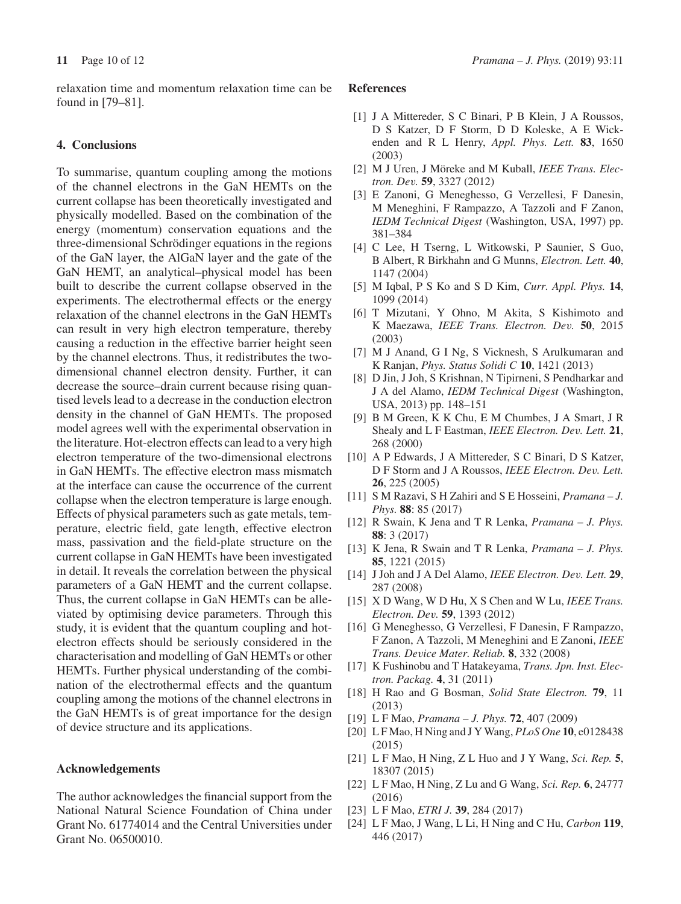relaxation time and momentum relaxation time can be found in [79–81].

## **4. Conclusions**

To summarise, quantum coupling among the motions of the channel electrons in the GaN HEMTs on the current collapse has been theoretically investigated and physically modelled. Based on the combination of the energy (momentum) conservation equations and the three-dimensional Schrödinger equations in the regions of the GaN layer, the AlGaN layer and the gate of the GaN HEMT, an analytical–physical model has been built to describe the current collapse observed in the experiments. The electrothermal effects or the energy relaxation of the channel electrons in the GaN HEMTs can result in very high electron temperature, thereby causing a reduction in the effective barrier height seen by the channel electrons. Thus, it redistributes the twodimensional channel electron density. Further, it can decrease the source–drain current because rising quantised levels lead to a decrease in the conduction electron density in the channel of GaN HEMTs. The proposed model agrees well with the experimental observation in the literature. Hot-electron effects can lead to a very high electron temperature of the two-dimensional electrons in GaN HEMTs. The effective electron mass mismatch at the interface can cause the occurrence of the current collapse when the electron temperature is large enough. Effects of physical parameters such as gate metals, temperature, electric field, gate length, effective electron mass, passivation and the field-plate structure on the current collapse in GaN HEMTs have been investigated in detail. It reveals the correlation between the physical parameters of a GaN HEMT and the current collapse. Thus, the current collapse in GaN HEMTs can be alleviated by optimising device parameters. Through this study, it is evident that the quantum coupling and hotelectron effects should be seriously considered in the characterisation and modelling of GaN HEMTs or other HEMTs. Further physical understanding of the combination of the electrothermal effects and the quantum coupling among the motions of the channel electrons in the GaN HEMTs is of great importance for the design of device structure and its applications.

#### **Acknowledgements**

The author acknowledges the financial support from the National Natural Science Foundation of China under Grant No. 61774014 and the Central Universities under Grant No. 06500010.

#### **References**

- [1] J A Mittereder, S C Binari, P B Klein, J A Roussos, D S Katzer, D F Storm, D D Koleske, A E Wickenden and R L Henry, *Appl. Phys. Lett.* **83**, 1650 (2003)
- [2] M J Uren, J Möreke and M Kuball, *IEEE Trans. Electron. Dev.* **59**, 3327 (2012)
- [3] E Zanoni, G Meneghesso, G Verzellesi, F Danesin, M Meneghini, F Rampazzo, A Tazzoli and F Zanon, *IEDM Technical Digest* (Washington, USA, 1997) pp. 381–384
- [4] C Lee, H Tserng, L Witkowski, P Saunier, S Guo, B Albert, R Birkhahn and G Munns, *Electron. Lett.* **40**, 1147 (2004)
- [5] M Iqbal, P S Ko and S D Kim, *Curr. Appl. Phys.* **14**, 1099 (2014)
- [6] T Mizutani, Y Ohno, M Akita, S Kishimoto and K Maezawa, *IEEE Trans. Electron. Dev.* **50**, 2015 (2003)
- [7] M J Anand, G I Ng, S Vicknesh, S Arulkumaran and K Ranjan, *Phys. Status Solidi C* **10**, 1421 (2013)
- [8] D Jin, J Joh, S Krishnan, N Tipirneni, S Pendharkar and J A del Alamo, *IEDM Technical Digest* (Washington, USA, 2013) pp. 148–151
- [9] B M Green, K K Chu, E M Chumbes, J A Smart, J R Shealy and L F Eastman, *IEEE Electron. Dev. Lett.* **21**, 268 (2000)
- [10] A P Edwards, J A Mittereder, S C Binari, D S Katzer, D F Storm and J A Roussos, *IEEE Electron. Dev. Lett.* **26**, 225 (2005)
- [11] S M Razavi, S H Zahiri and S E Hosseini, *Pramana J. Phys.* **88**: 85 (2017)
- [12] R Swain, K Jena and T R Lenka, *Pramana J. Phys.* **88**: 3 (2017)
- [13] K Jena, R Swain and T R Lenka, *Pramana J. Phys.* **85**, 1221 (2015)
- [14] J Joh and J A Del Alamo, *IEEE Electron. Dev. Lett.* **29**, 287 (2008)
- [15] X D Wang, W D Hu, X S Chen and W Lu, *IEEE Trans. Electron. Dev.* **59**, 1393 (2012)
- [16] G Meneghesso, G Verzellesi, F Danesin, F Rampazzo, F Zanon, A Tazzoli, M Meneghini and E Zanoni, *IEEE Trans. Device Mater. Reliab.* **8**, 332 (2008)
- [17] K Fushinobu and T Hatakeyama, *Trans. Jpn. Inst. Electron. Packag.* **4**, 31 (2011)
- [18] H Rao and G Bosman, *Solid State Electron.* **79**, 11 (2013)
- [19] L F Mao, *Pramana J. Phys.* **72**, 407 (2009)
- [20] L F Mao, H Ning and J Y Wang, *PLoS One* **10**, e0128438 (2015)
- [21] L F Mao, H Ning, Z L Huo and J Y Wang, *Sci. Rep.* **5**, 18307 (2015)
- [22] L F Mao, H Ning, Z Lu and G Wang, *Sci. Rep.* **6**, 24777 (2016)
- [23] L F Mao, *ETRI J.* **39**, 284 (2017)
- [24] L F Mao, J Wang, L Li, H Ning and C Hu, *Carbon* **119**, 446 (2017)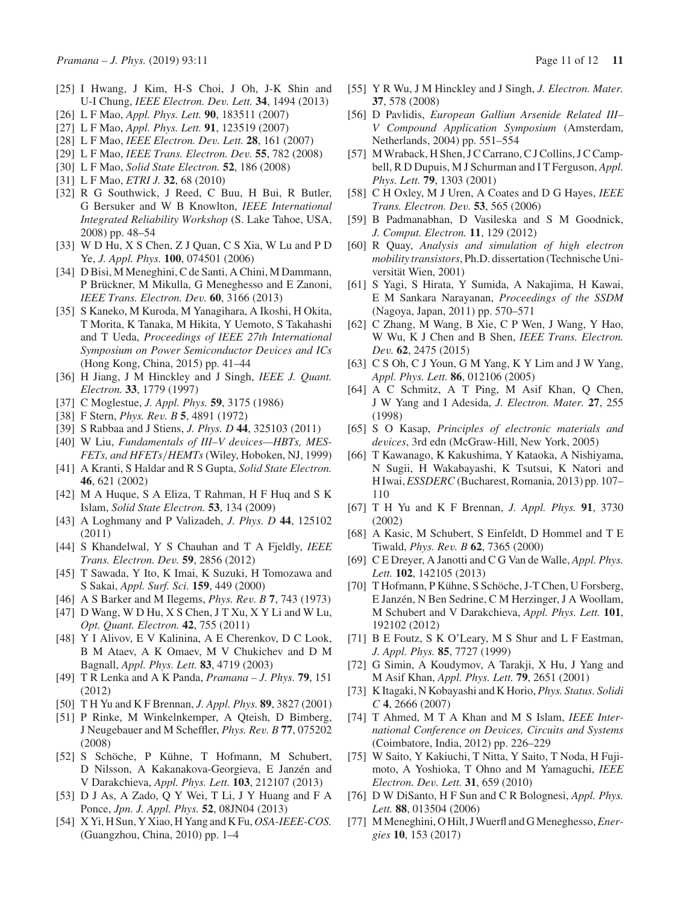- [25] I Hwang, J Kim, H-S Choi, J Oh, J-K Shin and U-I Chung, *IEEE Electron. Dev. Lett.* **34**, 1494 (2013)
- [26] L F Mao, *Appl. Phys. Lett.* **90**, 183511 (2007)
- [27] L F Mao, *Appl. Phys. Lett.* **91**, 123519 (2007)
- [28] L F Mao, *IEEE Electron. Dev. Lett.* **28**, 161 (2007)
- [29] L F Mao, *IEEE Trans. Electron. Dev.* **55**, 782 (2008)
- [30] L F Mao, *Solid State Electron.* **52**, 186 (2008)
- [31] L F Mao, *ETRI J.* **32**, 68 (2010)
- [32] R G Southwick, J Reed, C Buu, H Bui, R Butler, G Bersuker and W B Knowlton, *IEEE International Integrated Reliability Workshop* (S. Lake Tahoe, USA, 2008) pp. 48–54
- [33] W D Hu, X S Chen, Z J Quan, C S Xia, W Lu and P D Ye, *J. Appl. Phys.* **100**, 074501 (2006)
- [34] D Bisi, M Meneghini, C de Santi, A Chini, M Dammann, P Brückner, M Mikulla, G Meneghesso and E Zanoni, *IEEE Trans. Electron. Dev.* **60**, 3166 (2013)
- [35] S Kaneko, M Kuroda, M Yanagihara, A Ikoshi, H Okita, T Morita, K Tanaka, M Hikita, Y Uemoto, S Takahashi and T Ueda, *Proceedings of IEEE 27th International Symposium on Power Semiconductor Devices and ICs* (Hong Kong, China, 2015) pp. 41–44
- [36] H Jiang, J M Hinckley and J Singh, *IEEE J. Quant. Electron.* **33**, 1779 (1997)
- [37] C Moglestue, *J. Appl. Phys.* **59**, 3175 (1986)
- [38] F Stern, *Phys. Rev. B* **5**, 4891 (1972)
- [39] S Rabbaa and J Stiens, *J. Phys. D* **44**, 325103 (2011)
- [40] W Liu, *Fundamentals of III–V devices—HBTs, MES-FETs, and HFETs*/*HEMTs* (Wiley, Hoboken, NJ, 1999)
- [41] A Kranti, S Haldar and R S Gupta, *Solid State Electron.* **46**, 621 (2002)
- [42] M A Huque, S A Eliza, T Rahman, H F Huq and S K Islam, *Solid State Electron.* **53**, 134 (2009)
- [43] A Loghmany and P Valizadeh, *J. Phys. D* **44**, 125102 (2011)
- [44] S Khandelwal, Y S Chauhan and T A Fjeldly, *IEEE Trans. Electron. Dev.* **59**, 2856 (2012)
- [45] T Sawada, Y Ito, K Imai, K Suzuki, H Tomozawa and S Sakai, *Appl. Surf. Sci.* **159**, 449 (2000)
- [46] A S Barker and M Ilegems, *Phys. Rev. B* **7**, 743 (1973)
- [47] D Wang, W D Hu, X S Chen, J T Xu, X Y Li and W Lu, *Opt. Quant. Electron.* **42**, 755 (2011)
- [48] Y I Alivov, E V Kalinina, A E Cherenkov, D C Look, B M Ataev, A K Omaev, M V Chukichev and D M Bagnall, *Appl. Phys. Lett.* **83**, 4719 (2003)
- [49] T R Lenka and A K Panda, *Pramana J. Phys.* **79**, 151 (2012)
- [50] T H Yu and K F Brennan, *J. Appl. Phys.* **89**, 3827 (2001)
- [51] P Rinke, M Winkelnkemper, A Qteish, D Bimberg, J Neugebauer and M Scheffler, *Phys. Rev. B* **77**, 075202 (2008)
- [52] S Schöche, P Kühne, T Hofmann, M Schubert, D Nilsson, A Kakanakova-Georgieva, E Janzén and V Darakchieva, *Appl. Phys. Lett.* **103**, 212107 (2013)
- [53] D J As, A Zado, Q Y Wei, T Li, J Y Huang and F A Ponce, *Jpn. J. Appl. Phys.* **52**, 08JN04 (2013)
- [54] X Yi, H Sun, Y Xiao, H Yang and K Fu, *OSA-IEEE-COS.* (Guangzhou, China, 2010) pp. 1–4
- [55] Y R Wu, J M Hinckley and J Singh, *J. Electron. Mater.* **37**, 578 (2008)
- [56] D Pavlidis, *European Galliun Arsenide Related III– V Compound Application Symposium* (Amsterdam, Netherlands, 2004) pp. 551–554
- [57] M Wraback, H Shen, J C Carrano, C J Collins, J C Campbell, R D Dupuis, M J Schurman and I T Ferguson, *Appl. Phys. Lett.* **79**, 1303 (2001)
- [58] C H Oxley, M J Uren, A Coates and D G Hayes, *IEEE Trans. Electron. Dev.* **53**, 565 (2006)
- [59] B Padmanabhan, D Vasileska and S M Goodnick, *J. Comput. Electron.* **11**, 129 (2012)
- [60] R Quay, *Analysis and simulation of high electron mobility transistors*, Ph.D. dissertation (Technische Universität Wien, 2001)
- [61] S Yagi, S Hirata, Y Sumida, A Nakajima, H Kawai, E M Sankara Narayanan, *Proceedings of the SSDM* (Nagoya, Japan, 2011) pp. 570–571
- [62] C Zhang, M Wang, B Xie, C P Wen, J Wang, Y Hao, W Wu, K J Chen and B Shen, *IEEE Trans. Electron. Dev.* **62**, 2475 (2015)
- [63] C S Oh, C J Youn, G M Yang, K Y Lim and J W Yang, *Appl. Phys. Lett.* **86**, 012106 (2005)
- [64] A C Schmitz, A T Ping, M Asif Khan, Q Chen, J W Yang and I Adesida, *J. Electron. Mater.* **27**, 255 (1998)
- [65] S O Kasap, *Principles of electronic materials and devices*, 3rd edn (McGraw-Hill, New York, 2005)
- [66] T Kawanago, K Kakushima, Y Kataoka, A Nishiyama, N Sugii, H Wakabayashi, K Tsutsui, K Natori and H Iwai,*ESSDERC* (Bucharest, Romania, 2013) pp. 107– 110
- [67] T H Yu and K F Brennan, *J. Appl. Phys.* **91**, 3730 (2002)
- [68] A Kasic, M Schubert, S Einfeldt, D Hommel and T E Tiwald, *Phys. Rev. B* **62**, 7365 (2000)
- [69] C E Dreyer, A Janotti and C G Van de Walle, *Appl. Phys. Lett.* **102**, 142105 (2013)
- [70] T Hofmann, P Kühne, S Schöche, J-T Chen, U Forsberg, E Janzén, N Ben Sedrine, C M Herzinger, J A Woollam, M Schubert and V Darakchieva, *Appl. Phys. Lett.* **101**, 192102 (2012)
- [71] B E Foutz, S K O'Leary, M S Shur and L F Eastman, *J. Appl. Phys.* **85**, 7727 (1999)
- [72] G Simin, A Koudymov, A Tarakji, X Hu, J Yang and M Asif Khan, *Appl. Phys. Lett.* **79**, 2651 (2001)
- [73] K Itagaki, N Kobayashi and K Horio, *Phys. Status. Solidi C* **4**, 2666 (2007)
- [74] T Ahmed, M T A Khan and M S Islam, *IEEE International Conference on Devices, Circuits and Systems* (Coimbatore, India, 2012) pp. 226–229
- [75] W Saito, Y Kakiuchi, T Nitta, Y Saito, T Noda, H Fujimoto, A Yoshioka, T Ohno and M Yamaguchi, *IEEE Electron. Dev. Lett.* **31**, 659 (2010)
- [76] D W DiSanto, H F Sun and C R Bolognesi, *Appl. Phys. Lett.* **88**, 013504 (2006)
- [77] M Meneghini, O Hilt, J Wuerfl and G Meneghesso,*Energies* **10**, 153 (2017)